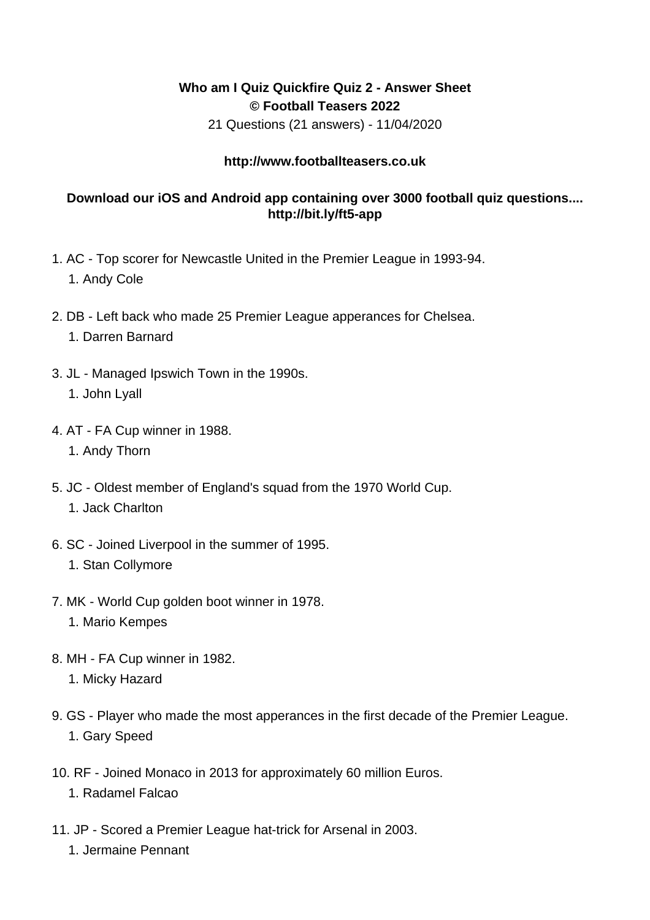## **Who am I Quiz Quickfire Quiz 2 - Answer Sheet © Football Teasers 2022**

21 Questions (21 answers) - 11/04/2020

## **http://www.footballteasers.co.uk**

## **Download our iOS and Android app containing over 3000 football quiz questions.... http://bit.ly/ft5-app**

- 1. AC Top scorer for Newcastle United in the Premier League in 1993-94. 1. Andy Cole
- 2. DB Left back who made 25 Premier League apperances for Chelsea. 1. Darren Barnard
- 3. JL Managed Ipswich Town in the 1990s. 1. John Lyall
- 4. AT FA Cup winner in 1988.
	- 1. Andy Thorn
- 5. JC Oldest member of England's squad from the 1970 World Cup. 1. Jack Charlton
- 6. SC Joined Liverpool in the summer of 1995.
	- 1. Stan Collymore
- 7. MK World Cup golden boot winner in 1978.
	- 1. Mario Kempes
- 8. MH FA Cup winner in 1982.
	- 1. Micky Hazard
- 9. GS Player who made the most apperances in the first decade of the Premier League. 1. Gary Speed
- 10. RF Joined Monaco in 2013 for approximately 60 million Euros.
	- 1. Radamel Falcao
- 11. JP Scored a Premier League hat-trick for Arsenal in 2003.
	- 1. Jermaine Pennant